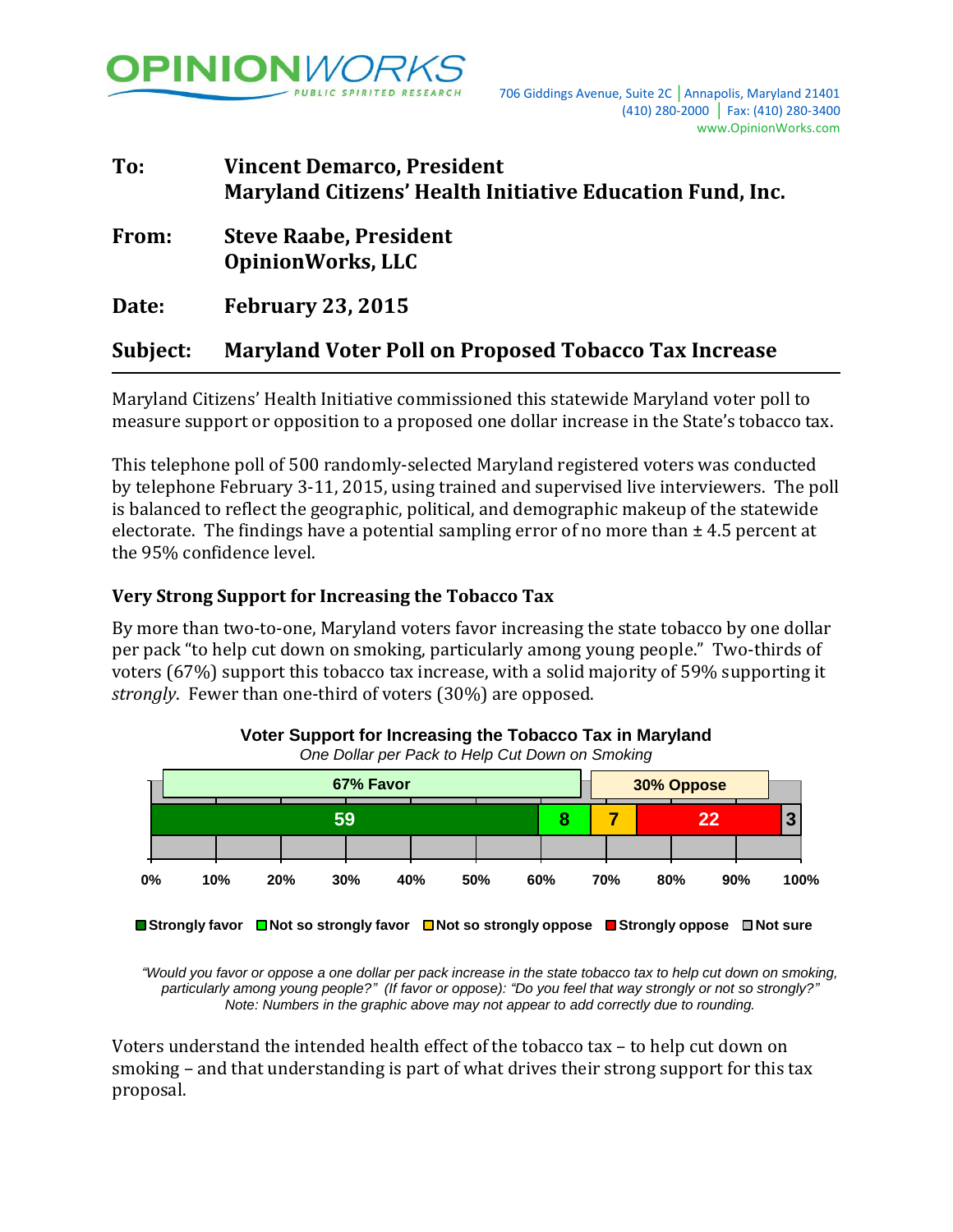

# **To: Vincent Demarco, President Maryland Citizens' Health Initiative Education Fund, Inc. From: Steve Raabe, President OpinionWorks, LLC Date: February 23, 2015 Subject: Maryland Voter Poll on Proposed Tobacco Tax Increase**

Maryland Citizens' Health Initiative commissioned this statewide Maryland voter poll to measure support or opposition to a proposed one dollar increase in the State's tobacco tax.

This telephone poll of 500 randomly-selected Maryland registered voters was conducted by telephone February 3-11, 2015, using trained and supervised live interviewers. The poll is balanced to reflect the geographic, political, and demographic makeup of the statewide electorate. The findings have a potential sampling error of no more than  $\pm$  4.5 percent at the 95% confidence level.

## **Very Strong Support for Increasing the Tobacco Tax**

By more than two-to-one, Maryland voters favor increasing the state tobacco by one dollar per pack "to help cut down on smoking, particularly among young people." Two-thirds of voters (67%) support this tobacco tax increase, with a solid majority of 59% supporting it *strongly*. Fewer than one-third of voters (30%) are opposed.



**Voter Support for Increasing the Tobacco Tax in Maryland** *One Dollar per Pack to Help Cut Down on Smoking*

*"Would you favor or oppose a one dollar per pack increase in the state tobacco tax to help cut down on smoking, particularly among young people?" (If favor or oppose): "Do you feel that way strongly or not so strongly?" Note: Numbers in the graphic above may not appear to add correctly due to rounding.*

Voters understand the intended health effect of the tobacco tax – to help cut down on smoking – and that understanding is part of what drives their strong support for this tax proposal.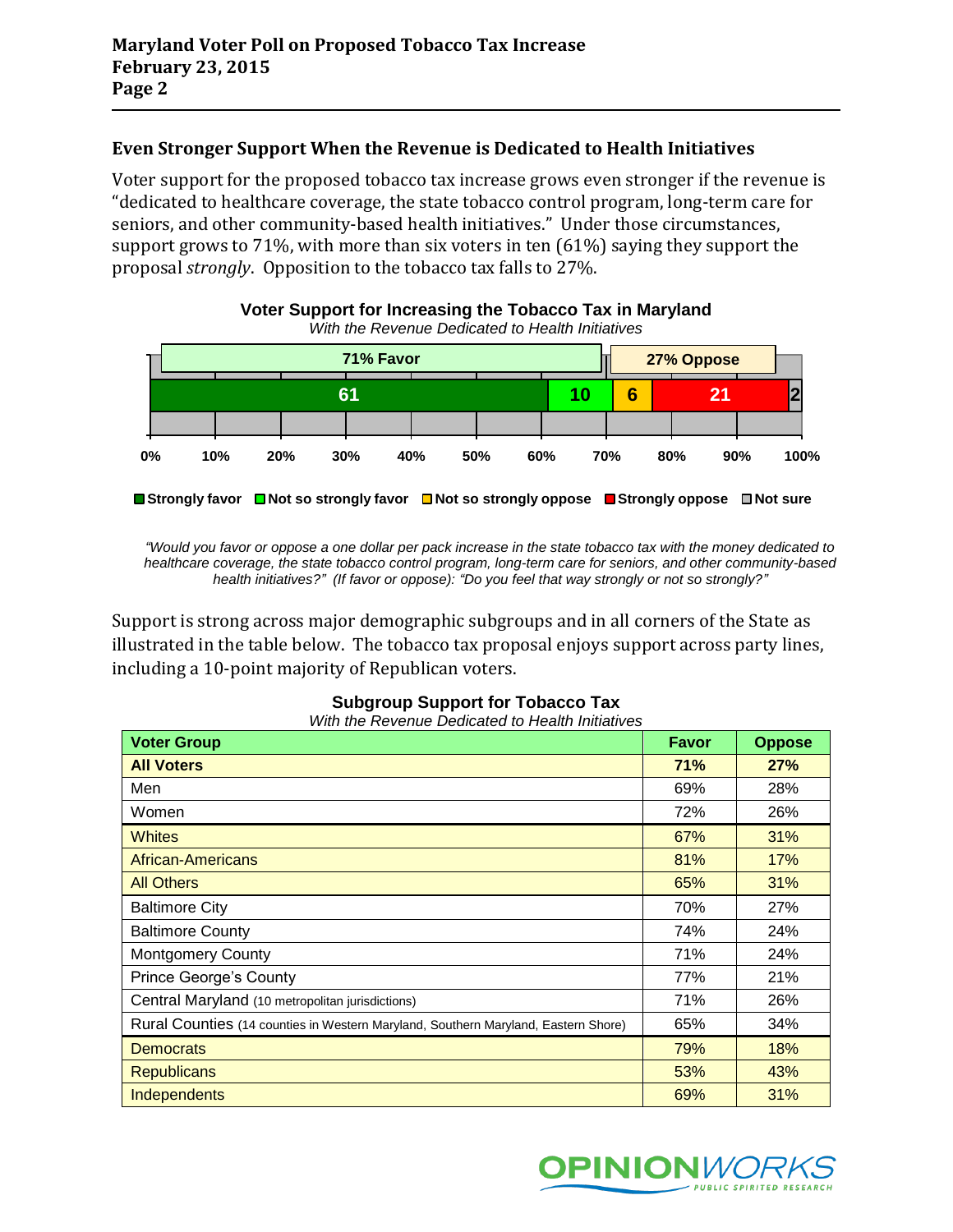## **Even Stronger Support When the Revenue is Dedicated to Health Initiatives**

Voter support for the proposed tobacco tax increase grows even stronger if the revenue is "dedicated to healthcare coverage, the state tobacco control program, long-term care for seniors, and other community-based health initiatives." Under those circumstances, support grows to 71%, with more than six voters in ten (61%) saying they support the proposal *strongly*. Opposition to the tobacco tax falls to 27%.



*"Would you favor or oppose a one dollar per pack increase in the state tobacco tax with the money dedicated to healthcare coverage, the state tobacco control program, long-term care for seniors, and other community-based health initiatives?" (If favor or oppose): "Do you feel that way strongly or not so strongly?"*

Support is strong across major demographic subgroups and in all corners of the State as illustrated in the table below. The tobacco tax proposal enjoys support across party lines, including a 10-point majority of Republican voters.

| <b>Voter Group</b>                                                                 | <b>Favor</b> | <b>Oppose</b> |
|------------------------------------------------------------------------------------|--------------|---------------|
| <b>All Voters</b>                                                                  | 71%          | 27%           |
| Men                                                                                | 69%          | 28%           |
| Women                                                                              | 72%          | 26%           |
| <b>Whites</b>                                                                      | 67%          | 31%           |
| <b>African-Americans</b>                                                           | 81%          | 17%           |
| <b>All Others</b>                                                                  | 65%          | 31%           |
| <b>Baltimore City</b>                                                              | 70%          | 27%           |
| <b>Baltimore County</b>                                                            | 74%          | 24%           |
| <b>Montgomery County</b>                                                           | 71%          | 24%           |
| <b>Prince George's County</b>                                                      | 77%          | 21%           |
| Central Maryland (10 metropolitan jurisdictions)                                   | 71%          | 26%           |
| Rural Counties (14 counties in Western Maryland, Southern Maryland, Eastern Shore) | 65%          | 34%           |
| <b>Democrats</b>                                                                   | 79%          | 18%           |
| <b>Republicans</b>                                                                 | 53%          | 43%           |
| Independents                                                                       | 69%          | 31%           |

# **Subgroup Support for Tobacco Tax**

*With the Revenue Dedicated to Health Initiatives*